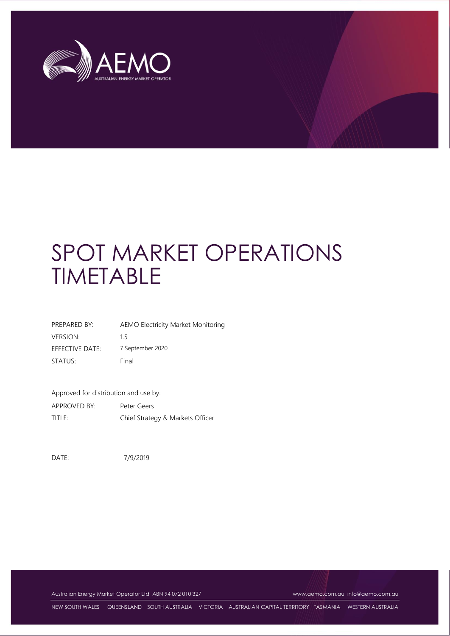

| PREPARED BY:    | <b>AEMO Electricity Market Monitoring</b> |
|-----------------|-------------------------------------------|
| <b>VERSION:</b> | 15                                        |
| EFFECTIVE DATE: | 7 September 2020                          |
| STATUS:         | Final                                     |

Approved for distribution and use by:

APPROVED BY: Peter Geers TITLE: Chief Strategy & Markets Officer

DATE: 7/9/2019

Australian Energy Market Operator Ltd ABN 94 072 010 327 [www.aemo.com.au](http://www.aemo.com.au/) [info@aemo.com.au](mailto:info@aemo.com.au)

NEW SOUTH WALES QUEENSLAND SOUTH AUSTRALIA VICTORIA AUSTRALIAN CAPITAL TERRITORY TASMANIA WESTERN AUSTRALIA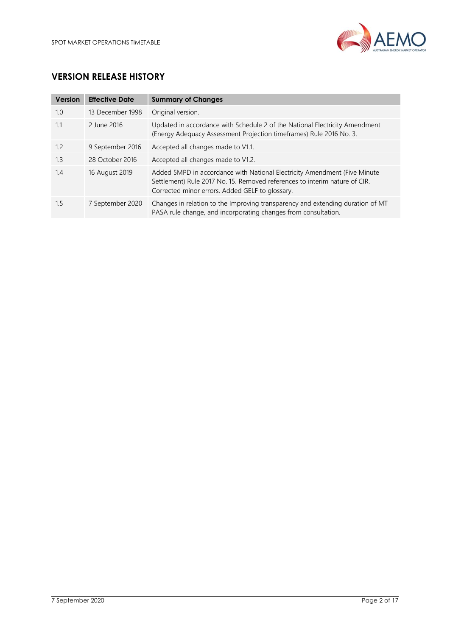

# **VERSION RELEASE HISTORY**

| <b>Version</b> | <b>Effective Date</b> | <b>Summary of Changes</b>                                                                                                                                                                                  |
|----------------|-----------------------|------------------------------------------------------------------------------------------------------------------------------------------------------------------------------------------------------------|
| 1.0            | 13 December 1998      | Original version.                                                                                                                                                                                          |
| 1.1            | 2 June 2016           | Updated in accordance with Schedule 2 of the National Electricity Amendment<br>(Energy Adequacy Assessment Projection timeframes) Rule 2016 No. 3.                                                         |
| 1.2            | 9 September 2016      | Accepted all changes made to V1.1.                                                                                                                                                                         |
| 1.3            | 28 October 2016       | Accepted all changes made to V1.2.                                                                                                                                                                         |
| 1.4            | 16 August 2019        | Added 5MPD in accordance with National Electricity Amendment (Five Minute<br>Settlement) Rule 2017 No. 15. Removed references to interim nature of CIR.<br>Corrected minor errors. Added GELF to glossary. |
| 1.5            | 7 September 2020      | Changes in relation to the Improving transparency and extending duration of MT<br>PASA rule change, and incorporating changes from consultation.                                                           |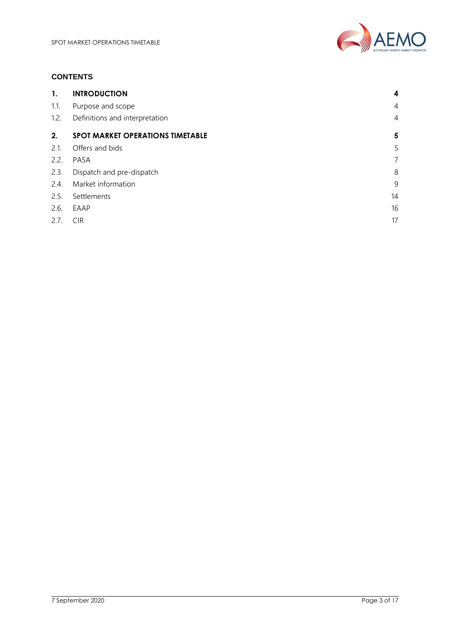

# **CONTENTS**

| 1.   | <b>INTRODUCTION</b>                     | 4              |
|------|-----------------------------------------|----------------|
| 1.1. | Purpose and scope                       | $\overline{4}$ |
| 1.2. | Definitions and interpretation          | $\overline{4}$ |
| 2.   | <b>SPOT MARKET OPERATIONS TIMETABLE</b> | $\sqrt{5}$     |
| 2.1. | Offers and bids                         | 5              |
| 2.2. | PASA                                    | $\overline{7}$ |
| 2.3. | Dispatch and pre-dispatch               | 8              |
| 2.4. | Market information                      | 9              |
| 2.5. | Settlements                             | 14             |
| 2.6. | EAAP                                    | 16             |
| 2.7. | <b>CIR</b>                              | 17             |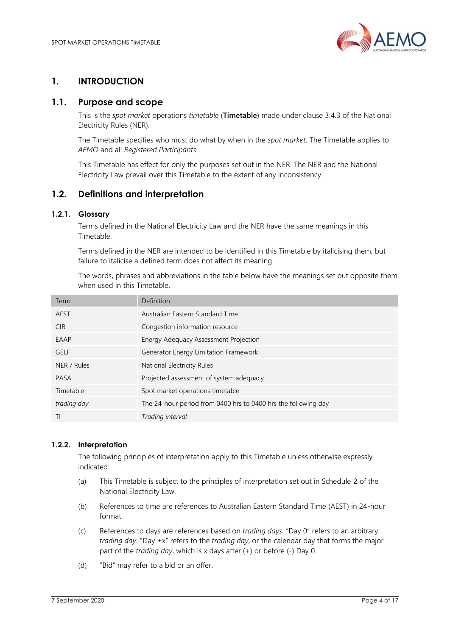

# <span id="page-3-0"></span>**1. INTRODUCTION**

# <span id="page-3-1"></span>**1.1. Purpose and scope**

This is the *spot market* operations *timetable* (**Timetable**) made under clause 3.4.3 of the National Electricity Rules (NER).

The Timetable specifies who must do what by when in the *spot market*. The Timetable applies to *AEMO* and all *Registered Participants*.

This Timetable has effect for only the purposes set out in the NER. The NER and the National Electricity Law prevail over this Timetable to the extent of any inconsistency.

# <span id="page-3-2"></span>**1.2. Definitions and interpretation**

## **1.2.1. Glossary**

Terms defined in the National Electricity Law and the NER have the same meanings in this Timetable.

Terms defined in the NER are intended to be identified in this Timetable by italicising them, but failure to italicise a defined term does not affect its meaning.

The words, phrases and abbreviations in the table below have the meanings set out opposite them when used in this Timetable.

| Definition                                                     |
|----------------------------------------------------------------|
| Australian Eastern Standard Time                               |
| Congestion information resource                                |
| Energy Adequacy Assessment Projection                          |
| Generator Energy Limitation Framework                          |
| National Electricity Rules                                     |
| Projected assessment of system adequacy                        |
| Spot market operations timetable                               |
| The 24-hour period from 0400 hrs to 0400 hrs the following day |
| Trading interval                                               |
|                                                                |

## **1.2.2. Interpretation**

The following principles of interpretation apply to this Timetable unless otherwise expressly indicated:

- (a) This Timetable is subject to the principles of interpretation set out in Schedule 2 of the National Electricity Law.
- (b) References to time are references to Australian Eastern Standard Time (AEST) in 24-hour format.
- (c) References to days are references based on *trading days*. "Day 0" refers to an arbitrary *trading day*. "Day ±x" refers to the *trading day*, or the calendar day that forms the major part of the *trading day*, which is x days after (+) or before (-) Day 0.
- (d) "Bid" may refer to a bid or an offer.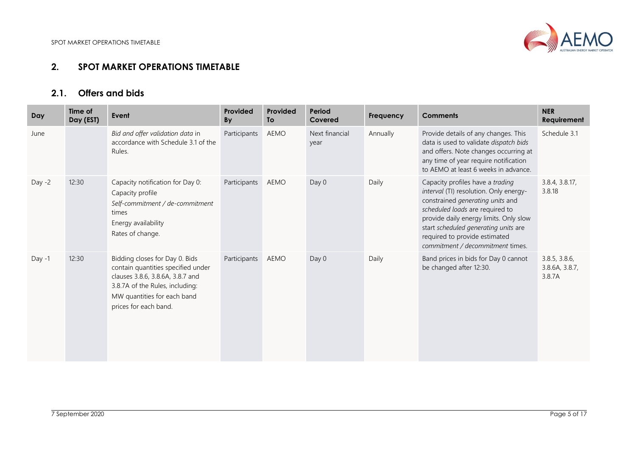

# **2.1. Offers and bids**

<span id="page-4-1"></span><span id="page-4-0"></span>

| Day      | Time of<br>Day (EST) | Event                                                                                                                                                                                               | Provided<br><b>By</b> | Provided<br>To | Period<br>Covered      | Frequency | <b>Comments</b>                                                                                                                                                                                                                                                                                          | <b>NER</b><br>Requirement                 |
|----------|----------------------|-----------------------------------------------------------------------------------------------------------------------------------------------------------------------------------------------------|-----------------------|----------------|------------------------|-----------|----------------------------------------------------------------------------------------------------------------------------------------------------------------------------------------------------------------------------------------------------------------------------------------------------------|-------------------------------------------|
| June     |                      | Bid and offer validation data in<br>accordance with Schedule 3.1 of the<br>Rules.                                                                                                                   | Participants          | <b>AEMO</b>    | Next financial<br>year | Annually  | Provide details of any changes. This<br>data is used to validate dispatch bids<br>and offers. Note changes occurring at<br>any time of year require notification<br>to AEMO at least 6 weeks in advance.                                                                                                 | Schedule 3.1                              |
| Day $-2$ | 12:30                | Capacity notification for Day 0:<br>Capacity profile<br>Self-commitment / de-commitment<br>times<br>Energy availability<br>Rates of change.                                                         | Participants          | <b>AEMO</b>    | Day 0                  | Daily     | Capacity profiles have a trading<br>interval (TI) resolution. Only energy-<br>constrained generating units and<br>scheduled loads are required to<br>provide daily energy limits. Only slow<br>start scheduled generating units are<br>required to provide estimated<br>commitment / decommitment times. | 3.8.4, 3.8.17,<br>3.8.18                  |
| Day -1   | 12:30                | Bidding closes for Day 0. Bids<br>contain quantities specified under<br>clauses 3.8.6, 3.8.6A, 3.8.7 and<br>3.8.7A of the Rules, including:<br>MW quantities for each band<br>prices for each band. | Participants          | AEMO           | Day 0                  | Daily     | Band prices in bids for Day 0 cannot<br>be changed after 12:30.                                                                                                                                                                                                                                          | 3.8.5, 3.8.6,<br>3.8.6A, 3.8.7,<br>3.8.7A |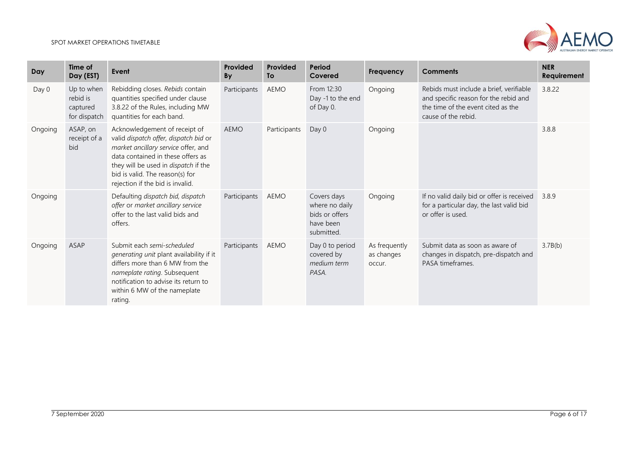

| Day     | Time of<br>Day (EST)                               | Event                                                                                                                                                                                                                                                             | Provided<br><b>By</b> | Provided<br><b>To</b> | Period<br>Covered                                                          | Frequency                             | <b>Comments</b>                                                                                                                               | <b>NER</b><br>Requirement |
|---------|----------------------------------------------------|-------------------------------------------------------------------------------------------------------------------------------------------------------------------------------------------------------------------------------------------------------------------|-----------------------|-----------------------|----------------------------------------------------------------------------|---------------------------------------|-----------------------------------------------------------------------------------------------------------------------------------------------|---------------------------|
| Day 0   | Up to when<br>rebid is<br>captured<br>for dispatch | Rebidding closes. Rebids contain<br>quantities specified under clause<br>3.8.22 of the Rules, including MW<br>quantities for each band.                                                                                                                           | Participants          | <b>AEMO</b>           | From 12:30<br>Day -1 to the end<br>of Day 0.                               | Ongoing                               | Rebids must include a brief, verifiable<br>and specific reason for the rebid and<br>the time of the event cited as the<br>cause of the rebid. | 3.8.22                    |
| Ongoing | ASAP, on<br>receipt of a<br>bid                    | Acknowledgement of receipt of<br>valid dispatch offer, dispatch bid or<br>market ancillary service offer, and<br>data contained in these offers as<br>they will be used in dispatch if the<br>bid is valid. The reason(s) for<br>rejection if the bid is invalid. | AEMO                  | Participants          | Day 0                                                                      | Ongoing                               |                                                                                                                                               | 3.8.8                     |
| Ongoing |                                                    | Defaulting dispatch bid, dispatch<br>offer or market ancillary service<br>offer to the last valid bids and<br>offers.                                                                                                                                             | Participants          | AEMO                  | Covers days<br>where no daily<br>bids or offers<br>have been<br>submitted. | Ongoing                               | If no valid daily bid or offer is received<br>for a particular day, the last valid bid<br>or offer is used.                                   | 3.8.9                     |
| Ongoing | ASAP                                               | Submit each semi-scheduled<br>generating unit plant availability if it<br>differs more than 6 MW from the<br>nameplate rating. Subsequent<br>notification to advise its return to<br>within 6 MW of the nameplate<br>rating.                                      | Participants          | <b>AEMO</b>           | Day 0 to period<br>covered by<br>medium term<br>PASA.                      | As frequently<br>as changes<br>occur. | Submit data as soon as aware of<br>changes in dispatch, pre-dispatch and<br>PASA timeframes.                                                  | 3.7B(b)                   |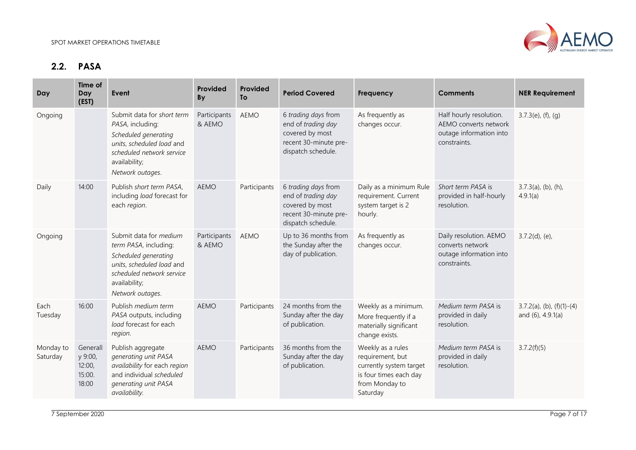

# **2.2. PASA**

<span id="page-6-0"></span>

| Day                   | Time of<br>Day<br>(EST)                          | Event                                                                                                                                                                  | Provided<br>By         | Provided<br><b>To</b> | <b>Period Covered</b>                                                                                       | Frequency                                                                                                                | <b>Comments</b>                                                                             | <b>NER Requirement</b>                            |
|-----------------------|--------------------------------------------------|------------------------------------------------------------------------------------------------------------------------------------------------------------------------|------------------------|-----------------------|-------------------------------------------------------------------------------------------------------------|--------------------------------------------------------------------------------------------------------------------------|---------------------------------------------------------------------------------------------|---------------------------------------------------|
| Ongoing               |                                                  | Submit data for short term<br>PASA, including:<br>Scheduled generating<br>units, scheduled load and<br>scheduled network service<br>availability;<br>Network outages.  | Participants<br>& AEMO | <b>AEMO</b>           | 6 trading days from<br>end of trading day<br>covered by most<br>recent 30-minute pre-<br>dispatch schedule. | As frequently as<br>changes occur.                                                                                       | Half hourly resolution.<br>AEMO converts network<br>outage information into<br>constraints. | $3.7.3(e)$ , (f), (g)                             |
| Daily                 | 14:00                                            | Publish short term PASA,<br>including load forecast for<br>each region.                                                                                                | <b>AEMO</b>            | Participants          | 6 trading days from<br>end of trading day<br>covered by most<br>recent 30-minute pre-<br>dispatch schedule. | Daily as a minimum Rule<br>requirement. Current<br>system target is 2<br>hourly.                                         | Short term PASA is<br>provided in half-hourly<br>resolution.                                | $3.7.3(a)$ , (b), (h),<br>4.9.1(a)                |
| Ongoing               |                                                  | Submit data for medium<br>term PASA, including:<br>Scheduled generating<br>units, scheduled load and<br>scheduled network service<br>availability;<br>Network outages. | Participants<br>& AEMO | <b>AEMO</b>           | Up to 36 months from<br>the Sunday after the<br>day of publication.                                         | As frequently as<br>changes occur.                                                                                       | Daily resolution. AEMO<br>converts network<br>outage information into<br>constraints.       | $3.7.2(d)$ , (e),                                 |
| Each<br>Tuesday       | 16:00                                            | Publish medium term<br>PASA outputs, including<br>load forecast for each<br>region.                                                                                    | <b>AEMO</b>            | Participants          | 24 months from the<br>Sunday after the day<br>of publication.                                               | Weekly as a minimum.<br>More frequently if a<br>materially significant<br>change exists.                                 | Medium term PASA is<br>provided in daily<br>resolution.                                     | $3.7.2(a)$ , (b), (f)(1)-(4)<br>and (6), 4.9.1(a) |
| Monday to<br>Saturday | Generall<br>y 9:00,<br>12:00,<br>15:00.<br>18:00 | Publish aggregate<br>generating unit PASA<br>availability for each region<br>and individual scheduled<br>generating unit PASA<br>availability.                         | <b>AEMO</b>            | Participants          | 36 months from the<br>Sunday after the day<br>of publication.                                               | Weekly as a rules<br>requirement, but<br>currently system target<br>is four times each day<br>from Monday to<br>Saturday | Medium term PASA is<br>provided in daily<br>resolution.                                     | 3.7.2(f)(5)                                       |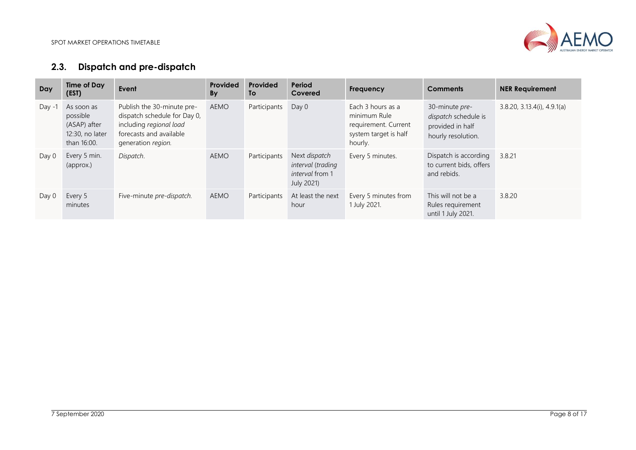

# **2.3. Dispatch and pre-dispatch**

<span id="page-7-0"></span>

| Day      | <b>Time of Day</b><br>(EST)                                              | Event                                                                                                                                  | Provided<br><b>By</b> | Provided<br><b>To</b> | Period<br>Covered                                                          | Frequency                                                                                     | <b>Comments</b>                                                                  | <b>NER Requirement</b>      |
|----------|--------------------------------------------------------------------------|----------------------------------------------------------------------------------------------------------------------------------------|-----------------------|-----------------------|----------------------------------------------------------------------------|-----------------------------------------------------------------------------------------------|----------------------------------------------------------------------------------|-----------------------------|
| Day $-1$ | As soon as<br>possible<br>(ASAP) after<br>12:30, no later<br>than 16:00. | Publish the 30-minute pre-<br>dispatch schedule for Day 0,<br>including regional load<br>forecasts and available<br>generation region. | <b>AEMO</b>           | Participants          | Day 0                                                                      | Each 3 hours as a<br>minimum Rule<br>requirement. Current<br>system target is half<br>hourly. | 30-minute pre-<br>dispatch schedule is<br>provided in half<br>hourly resolution. | 3.8.20, 3.13.4(i), 4.9.1(i) |
| Day 0    | Every 5 min.<br>(approx.)                                                | Dispatch.                                                                                                                              | AEMO                  | Participants          | Next dispatch<br>interval (trading<br><i>interval</i> from 1<br>July 2021) | Every 5 minutes.                                                                              | Dispatch is according<br>to current bids, offers<br>and rebids.                  | 3.8.21                      |
| Day 0    | Every 5<br>minutes                                                       | Five-minute pre-dispatch.                                                                                                              | AEMO                  | Participants          | At least the next<br>hour                                                  | Every 5 minutes from<br>1 July 2021.                                                          | This will not be a<br>Rules requirement<br>until 1 July 2021.                    | 3.8.20                      |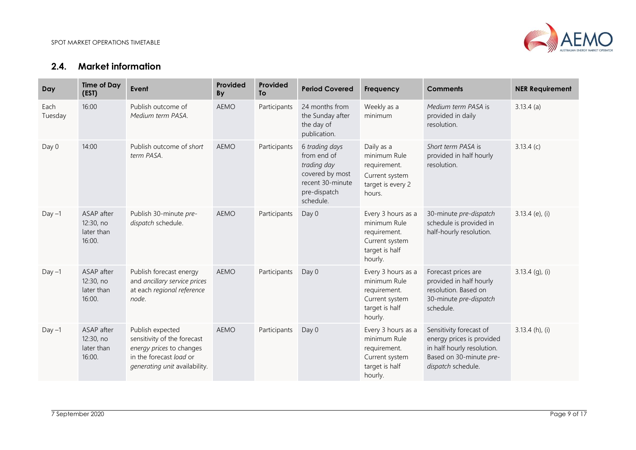

# **2.4. Market information**

<span id="page-8-0"></span>

| Day             | <b>Time of Day</b><br>(EST)                     | Event                                                                                                                                   | Provided<br>By | Provided<br><b>To</b> | <b>Period Covered</b>                                                                                            | Frequency                                                                                         | <b>Comments</b>                                                                                                                     | <b>NER Requirement</b> |
|-----------------|-------------------------------------------------|-----------------------------------------------------------------------------------------------------------------------------------------|----------------|-----------------------|------------------------------------------------------------------------------------------------------------------|---------------------------------------------------------------------------------------------------|-------------------------------------------------------------------------------------------------------------------------------------|------------------------|
| Each<br>Tuesday | 16:00                                           | Publish outcome of<br>Medium term PASA.                                                                                                 | <b>AEMO</b>    | Participants          | 24 months from<br>the Sunday after<br>the day of<br>publication.                                                 | Weekly as a<br>minimum                                                                            | Medium term PASA is<br>provided in daily<br>resolution.                                                                             | $3.13.4$ (a)           |
| Day 0           | 14:00                                           | Publish outcome of short<br>term PASA.                                                                                                  | <b>AEMO</b>    | Participants          | 6 trading days<br>from end of<br>trading day<br>covered by most<br>recent 30-minute<br>pre-dispatch<br>schedule. | Daily as a<br>minimum Rule<br>requirement.<br>Current system<br>target is every 2<br>hours.       | Short term PASA is<br>provided in half hourly<br>resolution.                                                                        | 3.13.4(c)              |
| $Day -1$        | ASAP after<br>12:30, no<br>later than<br>16:00. | Publish 30-minute pre-<br>dispatch schedule.                                                                                            | <b>AEMO</b>    | Participants          | Day 0                                                                                                            | Every 3 hours as a<br>minimum Rule<br>requirement.<br>Current system<br>target is half<br>hourly. | 30-minute pre-dispatch<br>schedule is provided in<br>half-hourly resolution.                                                        | $3.13.4$ (e), (i)      |
| $Day -1$        | ASAP after<br>12:30, no<br>later than<br>16:00. | Publish forecast energy<br>and ancillary service prices<br>at each regional reference<br>node.                                          | <b>AEMO</b>    | Participants          | Day 0                                                                                                            | Every 3 hours as a<br>minimum Rule<br>requirement.<br>Current system<br>target is half<br>hourly. | Forecast prices are<br>provided in half hourly<br>resolution. Based on<br>30-minute pre-dispatch<br>schedule.                       | $3.13.4$ (g), (i)      |
| $Day -1$        | ASAP after<br>12:30, no<br>later than<br>16:00. | Publish expected<br>sensitivity of the forecast<br>energy prices to changes<br>in the forecast load or<br>generating unit availability. | <b>AEMO</b>    | Participants          | Day 0                                                                                                            | Every 3 hours as a<br>minimum Rule<br>requirement.<br>Current system<br>target is half<br>hourly. | Sensitivity forecast of<br>energy prices is provided<br>in half hourly resolution.<br>Based on 30-minute pre-<br>dispatch schedule. | $3.13.4$ (h), (i)      |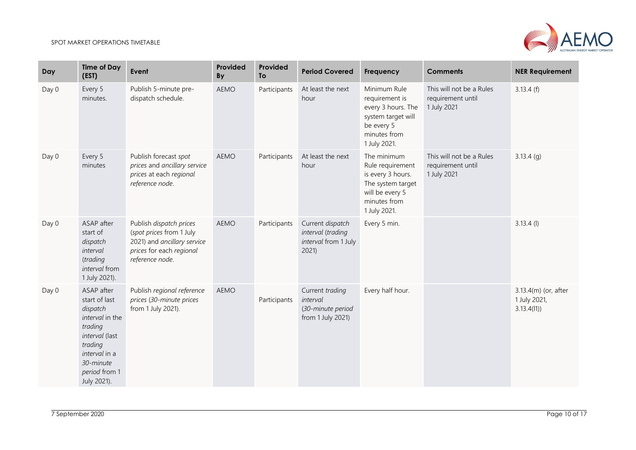

| Day   | <b>Time of Day</b><br>(EST)                                                                                                                                      | Event                                                                                                                             | Provided<br>By | Provided<br><b>To</b> | <b>Period Covered</b>                                                 | <b>Frequency</b>                                                                                                             | <b>Comments</b>                                              | <b>NER Requirement</b>                             |
|-------|------------------------------------------------------------------------------------------------------------------------------------------------------------------|-----------------------------------------------------------------------------------------------------------------------------------|----------------|-----------------------|-----------------------------------------------------------------------|------------------------------------------------------------------------------------------------------------------------------|--------------------------------------------------------------|----------------------------------------------------|
| Day 0 | Every 5<br>minutes.                                                                                                                                              | Publish 5-minute pre-<br>dispatch schedule.                                                                                       | <b>AEMO</b>    | Participants          | At least the next<br>hour                                             | Minimum Rule<br>requirement is<br>every 3 hours. The<br>system target will<br>be every 5<br>minutes from<br>1 July 2021.     | This will not be a Rules<br>requirement until<br>1 July 2021 | 3.13.4(f)                                          |
| Day 0 | Every 5<br>minutes                                                                                                                                               | Publish forecast spot<br>prices and ancillary service<br>prices at each regional<br>reference node.                               | <b>AEMO</b>    | Participants          | At least the next<br>hour                                             | The minimum<br>Rule requirement<br>is every 3 hours.<br>The system target<br>will be every 5<br>minutes from<br>1 July 2021. | This will not be a Rules<br>requirement until<br>1 July 2021 | $3.13.4$ (g)                                       |
| Day 0 | ASAP after<br>start of<br>dispatch<br>interval<br>(trading<br>interval from<br>1 July 2021).                                                                     | Publish dispatch prices<br>(spot prices from 1 July<br>2021) and ancillary service<br>prices for each regional<br>reference node. | <b>AEMO</b>    | Participants          | Current dispatch<br>interval (trading<br>interval from 1 July<br>2021 | Every 5 min.                                                                                                                 |                                                              | $3.13.4$ (l)                                       |
| Day 0 | ASAP after<br>start of last<br>dispatch<br>interval in the<br>trading<br>interval (last<br>trading<br>interval in a<br>30-minute<br>period from 1<br>July 2021). | Publish regional reference<br>prices (30-minute prices<br>from 1 July 2021).                                                      | <b>AEMO</b>    | Participants          | Current trading<br>interval<br>(30-minute period<br>from 1 July 2021) | Every half hour.                                                                                                             |                                                              | 3.13.4(m) (or, after<br>1 July 2021,<br>3.13.4(11) |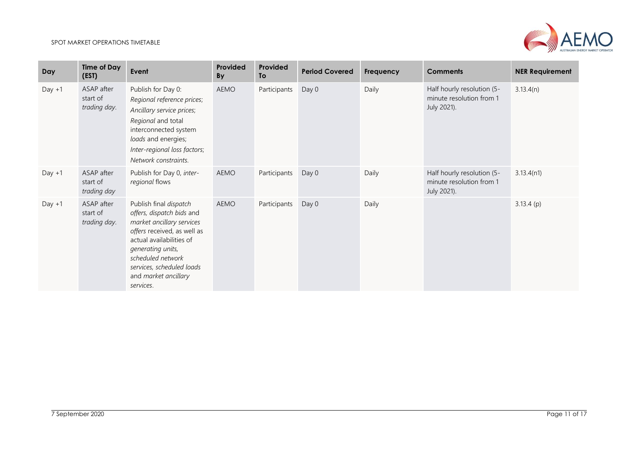

| Day      | <b>Time of Day</b><br>(EST)            | Event                                                                                                                                                                                                                                                   | Provided<br><b>By</b> | Provided<br>To | <b>Period Covered</b> | Frequency | <b>Comments</b>                                                       | <b>NER Requirement</b> |
|----------|----------------------------------------|---------------------------------------------------------------------------------------------------------------------------------------------------------------------------------------------------------------------------------------------------------|-----------------------|----------------|-----------------------|-----------|-----------------------------------------------------------------------|------------------------|
| $Day +1$ | ASAP after<br>start of<br>trading day. | Publish for Day 0:<br>Regional reference prices;<br>Ancillary service prices;<br>Regional and total<br>interconnected system<br>loads and energies;<br>Inter-regional loss factors;<br>Network constraints.                                             | AEMO                  | Participants   | Day 0                 | Daily     | Half hourly resolution (5-<br>minute resolution from 1<br>July 2021). | 3.13.4(n)              |
| $Day +1$ | ASAP after<br>start of<br>trading day  | Publish for Day 0, inter-<br>regional flows                                                                                                                                                                                                             | AEMO                  | Participants   | Day 0                 | Daily     | Half hourly resolution (5-<br>minute resolution from 1<br>July 2021). | 3.13.4(n1)             |
| $Day +1$ | ASAP after<br>start of<br>trading day. | Publish final dispatch<br>offers, dispatch bids and<br>market ancillary services<br>offers received, as well as<br>actual availabilities of<br>generating units,<br>scheduled network<br>services, scheduled loads<br>and market ancillary<br>services. | <b>AEMO</b>           | Participants   | Day 0                 | Daily     |                                                                       | 3.13.4(p)              |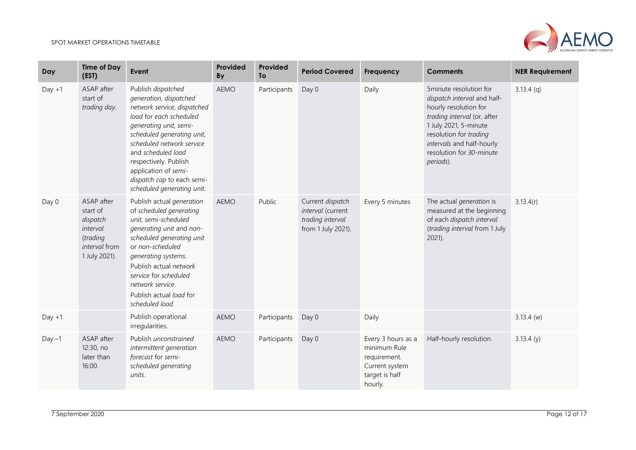

| Day      | <b>Time of Day</b><br>(EST)                                                                  | Event                                                                                                                                                                                                                                                                                                                          | Provided<br>By | Provided<br>To | <b>Period Covered</b>                                                           | Frequency                                                                                         | <b>Comments</b>                                                                                                                                                                                                                        | <b>NER Requirement</b> |
|----------|----------------------------------------------------------------------------------------------|--------------------------------------------------------------------------------------------------------------------------------------------------------------------------------------------------------------------------------------------------------------------------------------------------------------------------------|----------------|----------------|---------------------------------------------------------------------------------|---------------------------------------------------------------------------------------------------|----------------------------------------------------------------------------------------------------------------------------------------------------------------------------------------------------------------------------------------|------------------------|
| $Day +1$ | ASAP after<br>start of<br>trading day.                                                       | Publish dispatched<br>generation, dispatched<br>network service, dispatched<br>load for each scheduled<br>generating unit, semi-<br>scheduled generating unit,<br>scheduled network service<br>and scheduled load<br>respectively. Publish<br>application of semi-<br>dispatch cap to each semi-<br>scheduled generating unit. | <b>AEMO</b>    | Participants   | Day 0                                                                           | Daily                                                                                             | 5minute resolution for<br>dispatch interval and half-<br>hourly resolution for<br>trading interval (or, after<br>1 July 2021, 5-minute<br>resolution for trading<br>intervals and half-hourly<br>resolution for 30-minute<br>periods). | $3.13.4$ (q)           |
| Day 0    | ASAP after<br>start of<br>dispatch<br>interval<br>(trading<br>interval from<br>1 July 2021). | Publish actual generation<br>of scheduled generating<br>unit, semi-scheduled<br>generating unit and non-<br>scheduled generating unit<br>or non-scheduled<br>generating systems.<br>Publish actual network<br>service for scheduled<br>network service.<br>Publish actual load for<br>scheduled load.                          | <b>AEMO</b>    | Public         | Current dispatch<br>interval (current<br>trading interval<br>from 1 July 2021). | Every 5 minutes                                                                                   | The actual generation is<br>measured at the beginning<br>of each dispatch interval<br>(trading interval from 1 July<br>$2021$ ).                                                                                                       | 3.13.4(r)              |
| $Day +1$ |                                                                                              | Publish operational<br>irregularities.                                                                                                                                                                                                                                                                                         | <b>AEMO</b>    | Participants   | Day 0                                                                           | Daily                                                                                             |                                                                                                                                                                                                                                        | $3.13.4$ (w)           |
| $Day -1$ | ASAP after<br>12:30, no<br>later than<br>16:00.                                              | Publish unconstrained<br>intermittent generation<br>forecast for semi-<br>scheduled generating<br>units.                                                                                                                                                                                                                       | <b>AEMO</b>    | Participants   | Day 0                                                                           | Every 3 hours as a<br>minimum Rule<br>requirement.<br>Current system<br>target is half<br>hourly. | Half-hourly resolution.                                                                                                                                                                                                                | 3.13.4(y)              |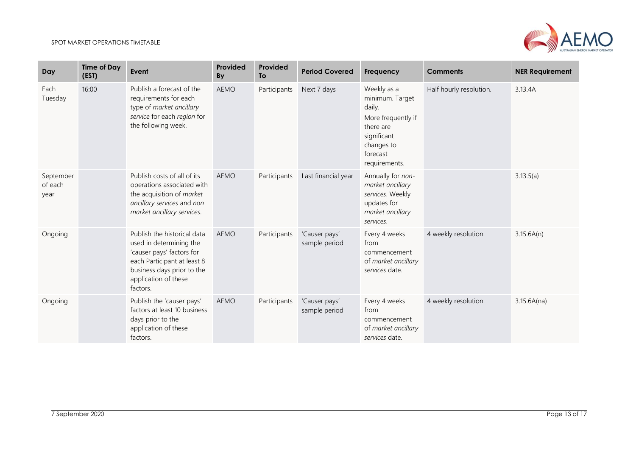

| Day                          | <b>Time of Day</b><br>(EST) | Event                                                                                                                                                                                | Provided<br>By | Provided<br><b>To</b> | <b>Period Covered</b>          | Frequency                                                                                                                             | <b>Comments</b>         | <b>NER Requirement</b> |
|------------------------------|-----------------------------|--------------------------------------------------------------------------------------------------------------------------------------------------------------------------------------|----------------|-----------------------|--------------------------------|---------------------------------------------------------------------------------------------------------------------------------------|-------------------------|------------------------|
| Each<br>Tuesday              | 16:00                       | Publish a forecast of the<br>requirements for each<br>type of market ancillary<br>service for each region for<br>the following week.                                                 | <b>AEMO</b>    | Participants          | Next 7 days                    | Weekly as a<br>minimum. Target<br>daily.<br>More frequently if<br>there are<br>significant<br>changes to<br>forecast<br>requirements. | Half hourly resolution. | 3.13.4A                |
| September<br>of each<br>year |                             | Publish costs of all of its<br>operations associated with<br>the acquisition of market<br>ancillary services and non<br>market ancillary services.                                   | <b>AEMO</b>    | Participants          | Last financial year            | Annually for non-<br>market ancillary<br>services. Weekly<br>updates for<br>market ancillary<br>services.                             |                         | 3.13.5(a)              |
| Ongoing                      |                             | Publish the historical data<br>used in determining the<br>'causer pays' factors for<br>each Participant at least 8<br>business days prior to the<br>application of these<br>factors. | <b>AEMO</b>    | Participants          | 'Causer pays'<br>sample period | Every 4 weeks<br>from<br>commencement<br>of market ancillary<br>services date.                                                        | 4 weekly resolution.    | 3.15.6A(n)             |
| Ongoing                      |                             | Publish the 'causer pays'<br>factors at least 10 business<br>days prior to the<br>application of these<br>factors.                                                                   | <b>AEMO</b>    | Participants          | 'Causer pays'<br>sample period | Every 4 weeks<br>from<br>commencement<br>of market ancillary<br>services date.                                                        | 4 weekly resolution.    | 3.15.6A(na)            |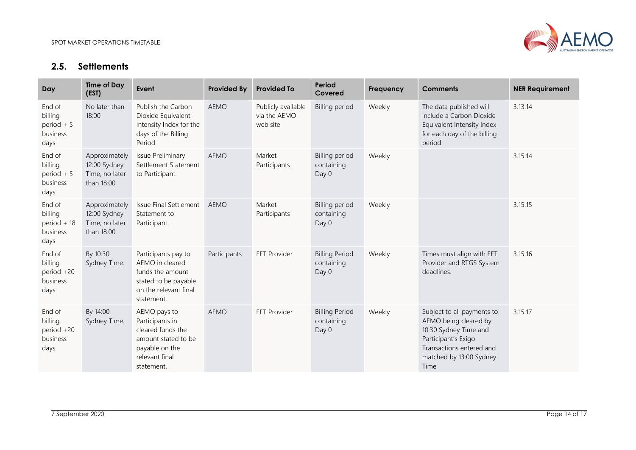

# **2.5. Settlements**

<span id="page-13-0"></span>

| Day                                                   | <b>Time of Day</b><br>(EST)                                   | Event                                                                                                                         | <b>Provided By</b> | <b>Provided To</b>                             | Period<br>Covered                            | <b>Frequency</b> | <b>Comments</b>                                                                                                                                                    | <b>NER Requirement</b> |
|-------------------------------------------------------|---------------------------------------------------------------|-------------------------------------------------------------------------------------------------------------------------------|--------------------|------------------------------------------------|----------------------------------------------|------------------|--------------------------------------------------------------------------------------------------------------------------------------------------------------------|------------------------|
| End of<br>billing<br>period $+5$<br>business<br>days  | No later than<br>18:00                                        | Publish the Carbon<br>Dioxide Equivalent<br>Intensity Index for the<br>days of the Billing<br>Period                          | <b>AEMO</b>        | Publicly available<br>via the AEMO<br>web site | <b>Billing period</b>                        | Weekly           | The data published will<br>include a Carbon Dioxide<br>Equivalent Intensity Index<br>for each day of the billing<br>period                                         | 3.13.14                |
| End of<br>billing<br>period $+5$<br>business<br>days  | Approximately<br>12:00 Sydney<br>Time, no later<br>than 18:00 | <b>Issue Preliminary</b><br>Settlement Statement<br>to Participant.                                                           | <b>AEMO</b>        | Market<br>Participants                         | <b>Billing period</b><br>containing<br>Day 0 | Weekly           |                                                                                                                                                                    | 3.15.14                |
| End of<br>billing<br>period $+18$<br>business<br>days | Approximately<br>12:00 Sydney<br>Time, no later<br>than 18:00 | <b>Issue Final Settlement</b><br>Statement to<br>Participant.                                                                 | <b>AEMO</b>        | Market<br>Participants                         | <b>Billing period</b><br>containing<br>Day 0 | Weekly           |                                                                                                                                                                    | 3.15.15                |
| End of<br>billing<br>period +20<br>business<br>days   | By 10:30<br>Sydney Time.                                      | Participants pay to<br>AEMO in cleared<br>funds the amount<br>stated to be payable<br>on the relevant final<br>statement.     | Participants       | <b>EFT Provider</b>                            | <b>Billing Period</b><br>containing<br>Day 0 | Weekly           | Times must align with EFT<br>Provider and RTGS System<br>deadlines.                                                                                                | 3.15.16                |
| End of<br>billing<br>period +20<br>business<br>days   | By 14:00<br>Sydney Time.                                      | AEMO pays to<br>Participants in<br>cleared funds the<br>amount stated to be<br>payable on the<br>relevant final<br>statement. | <b>AEMO</b>        | <b>EFT Provider</b>                            | <b>Billing Period</b><br>containing<br>Day 0 | Weekly           | Subject to all payments to<br>AEMO being cleared by<br>10:30 Sydney Time and<br>Participant's Exigo<br>Transactions entered and<br>matched by 13:00 Sydney<br>Time | 3.15.17                |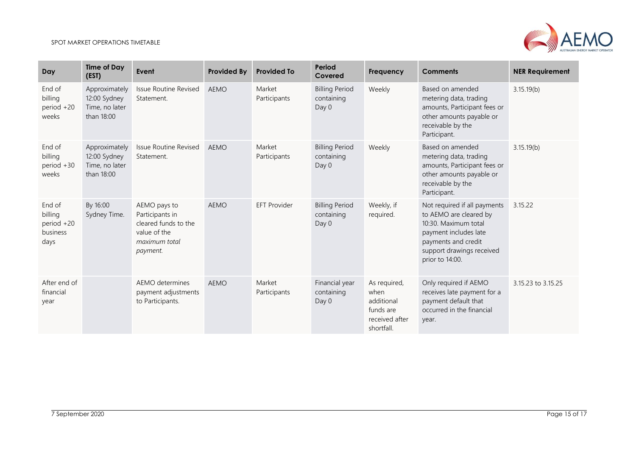

| Day                                                 | <b>Time of Day</b><br>(EST)                                   | Event                                                                                                | <b>Provided By</b> | <b>Provided To</b>     | Period<br>Covered                            | <b>Frequency</b>                                                                | <b>Comments</b>                                                                                                                                                                | <b>NER Requirement</b> |
|-----------------------------------------------------|---------------------------------------------------------------|------------------------------------------------------------------------------------------------------|--------------------|------------------------|----------------------------------------------|---------------------------------------------------------------------------------|--------------------------------------------------------------------------------------------------------------------------------------------------------------------------------|------------------------|
| End of<br>billing<br>period +20<br>weeks            | Approximately<br>12:00 Sydney<br>Time, no later<br>than 18:00 | <b>Issue Routine Revised</b><br>Statement.                                                           | <b>AEMO</b>        | Market<br>Participants | <b>Billing Period</b><br>containing<br>Day 0 | Weekly                                                                          | Based on amended<br>metering data, trading<br>amounts, Participant fees or<br>other amounts payable or<br>receivable by the<br>Participant.                                    | 3.15.19(b)             |
| End of<br>billing<br>period +30<br>weeks            | Approximately<br>12:00 Sydney<br>Time, no later<br>than 18:00 | <b>Issue Routine Revised</b><br>Statement.                                                           | <b>AEMO</b>        | Market<br>Participants | <b>Billing Period</b><br>containing<br>Day 0 | Weekly                                                                          | Based on amended<br>metering data, trading<br>amounts, Participant fees or<br>other amounts payable or<br>receivable by the<br>Participant.                                    | 3.15.19(b)             |
| End of<br>billing<br>period +20<br>business<br>days | By 16:00<br>Sydney Time.                                      | AEMO pays to<br>Participants in<br>cleared funds to the<br>value of the<br>maximum total<br>payment. | <b>AEMO</b>        | <b>EFT Provider</b>    | <b>Billing Period</b><br>containing<br>Day 0 | Weekly, if<br>required.                                                         | Not required if all payments<br>to AEMO are cleared by<br>10:30. Maximum total<br>payment includes late<br>payments and credit<br>support drawings received<br>prior to 14:00. | 3.15.22                |
| After end of<br>financial<br>year                   |                                                               | AEMO determines<br>payment adjustments<br>to Participants.                                           | <b>AEMO</b>        | Market<br>Participants | Financial year<br>containing<br>Day 0        | As required,<br>when<br>additional<br>funds are<br>received after<br>shortfall. | Only required if AEMO<br>receives late payment for a<br>payment default that<br>occurred in the financial<br>year.                                                             | 3.15.23 to 3.15.25     |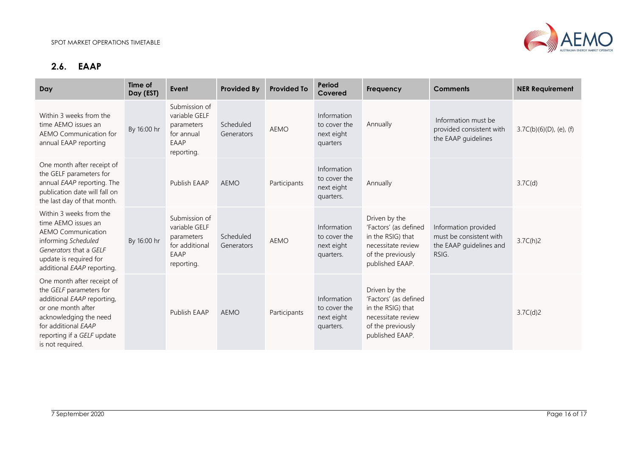

# **2.6. EAAP**

<span id="page-15-0"></span>

| Day                                                                                                                                                                                                          | Time of<br>Day (EST) | Event                                                                                | <b>Provided By</b>      | <b>Provided To</b> | Period<br>Covered                                      | Frequency                                                                                                                 | <b>Comments</b>                                                                     | <b>NER Requirement</b>     |
|--------------------------------------------------------------------------------------------------------------------------------------------------------------------------------------------------------------|----------------------|--------------------------------------------------------------------------------------|-------------------------|--------------------|--------------------------------------------------------|---------------------------------------------------------------------------------------------------------------------------|-------------------------------------------------------------------------------------|----------------------------|
| Within 3 weeks from the<br>time AEMO issues an<br>AEMO Communication for<br>annual EAAP reporting                                                                                                            | By 16:00 hr          | Submission of<br>variable GELF<br>parameters<br>for annual<br>EAAP<br>reporting.     | Scheduled<br>Generators | <b>AEMO</b>        | Information<br>to cover the<br>next eight<br>quarters  | Annually                                                                                                                  | Information must be<br>provided consistent with<br>the EAAP guidelines              | $3.7C(b)(6)(D)$ , (e), (f) |
| One month after receipt of<br>the GELF parameters for<br>annual EAAP reporting. The<br>publication date will fall on<br>the last day of that month.                                                          |                      | Publish EAAP                                                                         | <b>AEMO</b>             | Participants       | Information<br>to cover the<br>next eight<br>quarters. | Annually                                                                                                                  |                                                                                     | 3.7C(d)                    |
| Within 3 weeks from the<br>time AEMO issues an<br><b>AEMO Communication</b><br>informing Scheduled<br>Generators that a GELF<br>update is required for<br>additional EAAP reporting.                         | By 16:00 hr          | Submission of<br>variable GELF<br>parameters<br>for additional<br>EAAP<br>reporting. | Scheduled<br>Generators | <b>AEMO</b>        | Information<br>to cover the<br>next eight<br>quarters. | Driven by the<br>'Factors' (as defined<br>in the RSIG) that<br>necessitate review<br>of the previously<br>published EAAP. | Information provided<br>must be consistent with<br>the EAAP guidelines and<br>RSIG. | 3.7C(h)2                   |
| One month after receipt of<br>the GELF parameters for<br>additional EAAP reporting,<br>or one month after<br>acknowledging the need<br>for additional EAAP<br>reporting if a GELF update<br>is not required. |                      | Publish EAAP                                                                         | <b>AEMO</b>             | Participants       | Information<br>to cover the<br>next eight<br>quarters. | Driven by the<br>'Factors' (as defined<br>in the RSIG) that<br>necessitate review<br>of the previously<br>published EAAP. |                                                                                     | 3.7C(d)2                   |